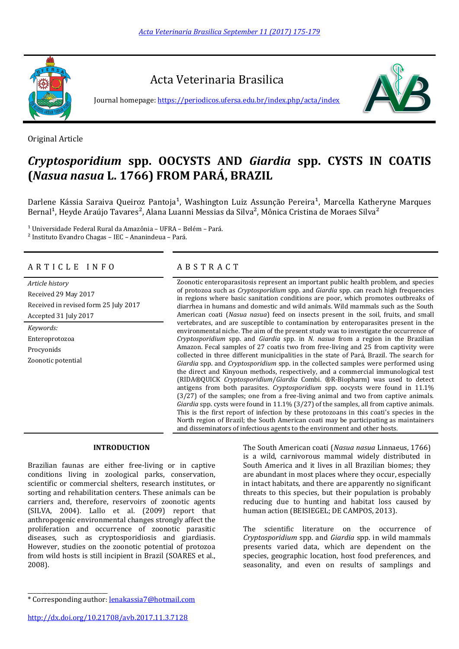

Acta Veterinaria Brasilica

Journal homepage:<https://periodicos.ufersa.edu.br/index.php/acta/index>



Original Article

# *Cryptosporidium* **spp. OOCYSTS AND** *Giardia* **spp. CYSTS IN COATIS (***Nasua nasua* **L. 1766) FROM PARÁ, BRAZIL**

Darlene Kássia Saraiva Queiroz Pantoja<sup>1</sup>, Washington Luiz Assunção Pereira<sup>1</sup>, Marcella Katheryne Marques Bernal<sup>1</sup>, Heyde Araújo Tavares<sup>2</sup>, Alana Luanni Messias da Silva<sup>2</sup>, Mônica Cristina de Moraes Silva<sup>2</sup>

 $1$  Universidade Federal Rural da Amazônia – UFRA – Belém – Pará. ² Instituto Evandro Chagas – IEC – Ananindeua – Pará.

# A R T I C L E I N F O A B S T R A C T

Received 29 May 2017 Received in revised form 25 July 2017 Accepted 31 July 2017

*Keywords:* Enteroprotozoa Procyonids Zoonotic potential

*Article history* Zoonotic enteroparasitosis represent an important public health problem, and species of protozoa such as *Cryptosporidium* spp. and *Giardia* spp. can reach high frequencies in regions where basic sanitation conditions are poor, which promotes outbreaks of diarrhea in humans and domestic and wild animals. Wild mammals such as the South American coati (*Nasua nasua*) feed on insects present in the soil, fruits, and small vertebrates, and are susceptible to contamination by enteroparasites present in the environmental niche. The aim of the present study was to investigate the occurrence of *Cryptosporidium* spp. and *Giardia* spp. in *N. nasua* from a region in the Brazilian Amazon. Fecal samples of 27 coatis two from free-living and 25 from captivity were collected in three different municipalities in the state of Pará, Brazil. The search for *Giardia* spp. and *Cryptosporidium* spp. in the collected samples were performed using the direct and Kinyoun methods, respectively, and a commercial immunological test (RIDA®QUICK *Cryptosporidium*/*Giardia* Combi. ®R-Biopharm) was used to detect antigens from both parasites. *Cryptosporidium* spp. oocysts were found in 11.1% (3/27) of the samples; one from a free-living animal and two from captive animals. *Giardia* spp. cysts were found in 11.1% (3/27) of the samples, all from captive animals. This is the first report of infection by these protozoans in this coati's species in the North region of Brazil; the South American coati may be participating as maintainers and disseminators of infectious agents to the environment and other hosts.

# **INTRODUCTION**

Brazilian faunas are either free-living or in captive conditions living in zoological parks, conservation, scientific or commercial shelters, research institutes, or sorting and rehabilitation centers. These animals can be carriers and, therefore, reservoirs of zoonotic agents (SILVA, 2004). Lallo et al. (2009) report that anthropogenic environmental changes strongly affect the proliferation and occurrence of zoonotic parasitic diseases, such as cryptosporidiosis and giardiasis. However, studies on the zoonotic potential of protozoa from wild hosts is still incipient in Brazil (SOARES et al., 2008).

The South American coati (*Nasua nasua* Linnaeus, 1766) is a wild, carnivorous mammal widely distributed in South America and it lives in all Brazilian biomes; they are abundant in most places where they occur, especially in intact habitats, and there are apparently no significant threats to this species, but their population is probably reducing due to hunting and habitat loss caused by human action (BEISIEGEL; DE CAMPOS, 2013).

The scientific literature on the occurrence of *Cryptosporidium* spp. and *Giardia* spp. in wild mammals presents varied data, which are dependent on the species, geographic location, host food preferences, and seasonality, and even on results of samplings and

http://dx.doi.org/10.21708/avb.2017.11.3.7128

\_\_\_\_\_\_\_\_\_\_\_\_\_\_\_\_\_\_\_\_\_\_\_\_\_\_\_\_

<sup>\*</sup> Corresponding author: lenakassia7@hotmail.com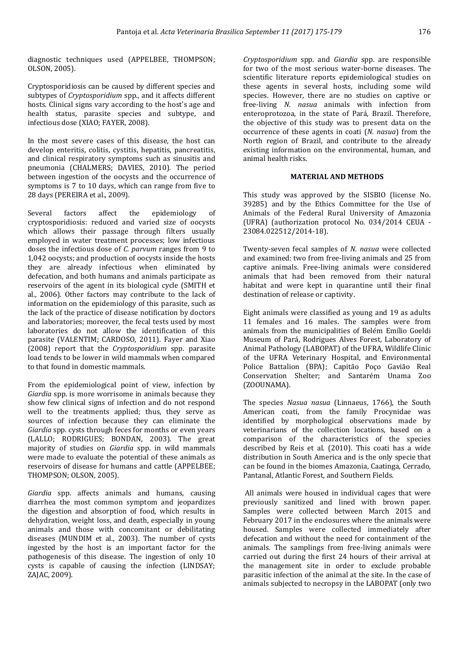diagnostic techniques used (APPELBEE, THOMPSON; OLSON, 2005).

Cryptosporidiosis can be caused by different species and subtypes of *Cryptosporidium* spp., and it affects different hosts. Clinical signs vary according to the host's age and health status, parasite species and subtype, and infectious dose (XIAO; FAYER, 2008).

In the most severe cases of this disease, the host can develop enteritis, colitis, cystitis, hepatitis, pancreatitis, and clinical respiratory symptoms such as sinusitis and pneumonia (CHALMERS; DAVIES, 2010). The period between ingestion of the oocysts and the occurrence of symptoms is 7 to 10 days, which can range from five to 28 days (PEREIRA et al., 2009).

Several factors affect the epidemiology of cryptosporidiosis: reduced and varied size of oocysts which allows their passage through filters usually employed in water treatment processes; low infectious doses the infectious dose of *C. parvum* ranges from 9 to 1,042 oocysts; and production of oocysts inside the hosts they are already infectious when eliminated by defecation, and both humans and animals participate as reservoirs of the agent in its biological cycle (SMITH et al., 2006). Other factors may contribute to the lack of information on the epidemiology of this parasite, such as the lack of the practice of disease notification by doctors and laboratories; moreover, the fecal tests used by most laboratories do not allow the identification of this parasite (VALENTIM; CARDOSO, 2011). Fayer and Xiao (2008) report that the *Cryptosporidium* spp. parasite load tends to be lower in wild mammals when compared to that found in domestic mammals.

From the epidemiological point of view, infection by *Giardia* spp. is more worrisome in animals because they show few clinical signs of infection and do not respond well to the treatments applied; thus, they serve as sources of infection because they can eliminate the *Giardia* spp. cysts through feces for months or even years (LALLO; RODRIGUES; BONDAN, 2003). The great majority of studies on *Giardia* spp. in wild mammals were made to evaluate the potential of these animals as reservoirs of disease for humans and cattle (APPELBEE; THOMPSON; OLSON, 2005).

*Giardia* spp. affects animals and humans, causing diarrhea the most common symptom and jeopardizes the digestion and absorption of food, which results in dehydration, weight loss, and death, especially in young animals and those with concomitant or debilitating diseases (MUNDIM et al., 2003). The number of cysts ingested by the host is an important factor for the pathogenesis of this disease. The ingestion of only 10 cysts is capable of causing the infection (LINDSAY; ZAJAC, 2009).

*Cryptosporidium* spp. and *Giardia* spp. are responsible for two of the most serious water-borne diseases. The scientific literature reports epidemiological studies on these agents in several hosts, including some wild species. However, there are no studies on captive or free-living *N. nasua* animals with infection from enteroprotozoa, in the state of Pará, Brazil. Therefore, the objective of this study was to present data on the occurrence of these agents in coati (*N. nasua*) from the North region of Brazil, and contribute to the already existing information on the environmental, human, and animal health risks.

### **MATERIAL AND METHODS**

This study was approved by the SISBIO (license No. 39285) and by the Ethics Committee for the Use of Animals of the Federal Rural University of Amazonia (UFRA) (authorization protocol No. 034/2014 CEUA - 23084.022512/2014-18).

Twenty-seven fecal samples of *N. nasua* were collected and examined: two from free-living animals and 25 from captive animals. Free-living animals were considered animals that had been removed from their natural habitat and were kept in quarantine until their final destination of release or captivity.

Eight animals were classified as young and 19 as adults 11 females and 16 males. The samples were from animals from the municipalities of Belém Emílio Goeldi Museum of Pará, Rodrigues Alves Forest, Laboratory of Animal Pathology (LABOPAT) of the UFRA, Wildlife Clinic of the UFRA Veterinary Hospital, and Environmental Police Battalion (BPA); Capitão Poço Gavião Real Conservation Shelter; and Santarém Unama Zoo (ZOOUNAMA).

The species *Nasua nasua* (Linnaeus, 1766), the South American coati, from the family Procynidae was identified by morphological observations made by veterinarians of the collection locations, based on a comparison of the characteristics of the species described by Reis et al. (2010). This coati has a wide distribution in South America and is the only specie that can be found in the biomes Amazonia, Caatinga, Cerrado, Pantanal, Atlantic Forest, and Southern Fields.

All animals were housed in individual cages that were previously sanitized and lined with brown paper. Samples were collected between March 2015 and February 2017 in the enclosures where the animals were housed. Samples were collected immediately after defecation and without the need for containment of the animals. The samplings from free-living animals were carried out during the first 24 hours of their arrival at the management site in order to exclude probable parasitic infection of the animal at the site. In the case of animals subjected to necropsy in the LABOPAT (only two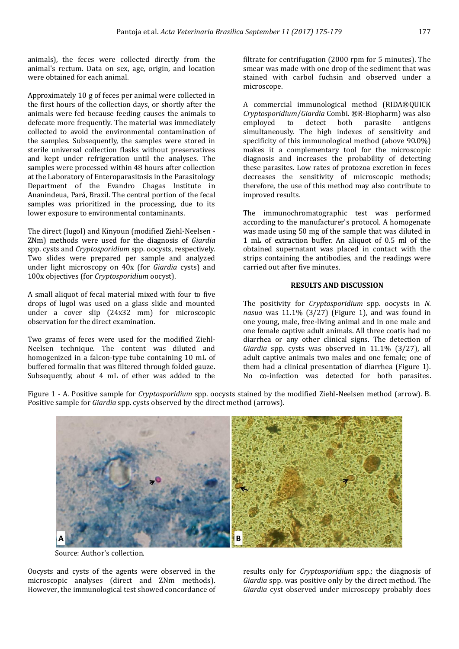animals), the feces were collected directly from the animal's rectum. Data on sex, age, origin, and location were obtained for each animal.

Approximately 10 g of feces per animal were collected in the first hours of the collection days, or shortly after the animals were fed because feeding causes the animals to defecate more frequently. The material was immediately collected to avoid the environmental contamination of the samples. Subsequently, the samples were stored in sterile universal collection flasks without preservatives and kept under refrigeration until the analyses. The samples were processed within 48 hours after collection at the Laboratory of Enteroparasitosis in the Parasitology Department of the Evandro Chagas Institute in Ananindeua, Pará, Brazil. The central portion of the fecal samples was prioritized in the processing, due to its lower exposure to environmental contaminants.

The direct (lugol) and Kinyoun (modified Ziehl-Neelsen - ZNm) methods were used for the diagnosis of *Giardia* spp. cysts and *Cryptosporidium* spp. oocysts, respectively. Two slides were prepared per sample and analyzed under light microscopy on 40x (for *Giardia* cysts) and 100x objectives (for *Cryptosporidium* oocyst).

A small aliquot of fecal material mixed with four to five drops of lugol was used on a glass slide and mounted under a cover slip (24x32 mm) for microscopic observation for the direct examination.

Two grams of feces were used for the modified Ziehl-Neelsen technique. The content was diluted and homogenized in a falcon-type tube containing 10 mL of buffered formalin that was filtered through folded gauze. Subsequently, about 4 mL of ether was added to the filtrate for centrifugation (2000 rpm for 5 minutes). The smear was made with one drop of the sediment that was stained with carbol fuchsin and observed under a microscope.

A commercial immunological method (RIDA®QUICK *Cryptosporidium*/*Giardia* Combi. ®R-Biopharm) was also employed to detect both parasite antigens simultaneously. The high indexes of sensitivity and specificity of this immunological method (above 90.0%) makes it a complementary tool for the microscopic diagnosis and increases the probability of detecting these parasites. Low rates of protozoa excretion in feces decreases the sensitivity of microscopic methods; therefore, the use of this method may also contribute to improved results.

The immunochromatographic test was performed according to the manufacturer's protocol. A homogenate was made using 50 mg of the sample that was diluted in 1 mL of extraction buffer. An aliquot of 0.5 ml of the obtained supernatant was placed in contact with the strips containing the antibodies, and the readings were carried out after five minutes.

## **RESULTS AND DISCUSSION**

The positivity for *Cryptosporidium* spp. oocysts in *N. nasua* was 11.1% (3/27) (Figure 1), and was found in one young, male, free-living animal and in one male and one female captive adult animals. All three coatis had no diarrhea or any other clinical signs. The detection of *Giardia* spp. cysts was observed in 11.1% (3/27), all adult captive animals two males and one female; one of them had a clinical presentation of diarrhea (Figure 1). No co-infection was detected for both parasites.

Figure 1 - A. Positive sample for *Cryptosporidium* spp. oocysts stained by the modified Ziehl-Neelsen method (arrow). B. Positive sample for *Giardia* spp. cysts observed by the direct method (arrows).



Source: Author's collection.

Oocysts and cysts of the agents were observed in the microscopic analyses (direct and ZNm methods). However, the immunological test showed concordance of results only for *Cryptosporidium* spp.; the diagnosis of *Giardia* spp. was positive only by the direct method. The *Giardia* cyst observed under microscopy probably does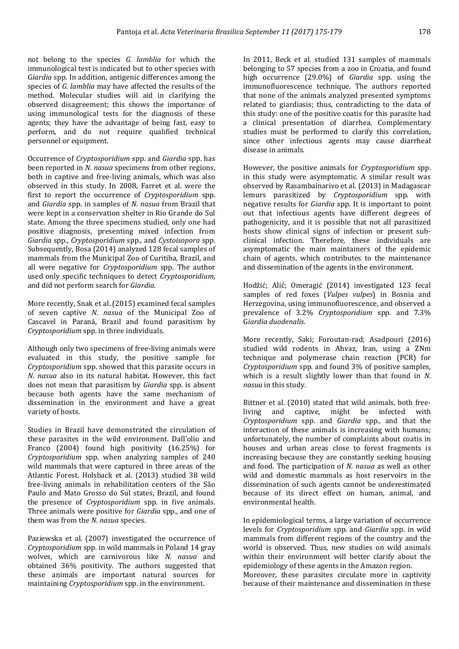not belong to the species *G. lamblia* for which the immunological test is indicated but to other species with G*iardia* spp. In addition, antigenic differences among the species of *G. lamblia* may have affected the results of the method. Molecular studies will aid in clarifying the observed disagreement; this shows the importance of using immunological tests for the diagnosis of these agents; they have the advantage of being fast, easy to perform, and do not require qualified technical personnel or equipment.

Occurrence of *Cryptosporidium* spp. and *Giardia* spp. has been reported in *N. nasua* specimens from other regions, both in captive and free-living animals, which was also observed in this study. In 2008, Farret et al. were the first to report the occurrence of *Cryptosporidium* spp. and *Giardia* spp. in samples of *N. nasua* from Brazil that were kept in a conservation shelter in Rio Grande do Sul state. Among the three specimens studied, only one had positive diagnosis, presenting mixed infection from *Giardia* spp., *Cryptosporidium* spp., and *Cystoisopora* spp. Subsequently, Bosa (2014) analyzed 128 fecal samples of mammals from the Municipal Zoo of Curitiba, Brazil, and all were negative for *Cryptosporidium* spp. The author used only specific techniques to detect *Cryptosporidium*, and did not perform search for *Giardia*.

More recently, Snak et al. (2015) examined fecal samples of seven captive *N. nasua* of the Municipal Zoo of Cascavel in Paraná, Brazil and found parasitism by *Cryptosporidium* spp. in three individuals.

Although only two specimens of free-living animals were evaluated in this study, the positive sample for *Cryptosporidium* spp. showed that this parasite occurs in *N. nasua* also in its natural habitat. However, this fact does not mean that parasitism by *Giardia* spp. is absent because both agents have the same mechanism of dissemination in the environment and have a great variety of hosts.

Studies in Brazil have demonstrated the circulation of these parasites in the wild environment. Dall'olio and Franco (2004) found high positivity (16.25%) for *Cryptosporidium* spp. when analyzing samples of 240 wild mammals that were captured in three areas of the Atlantic Forest. Holsback et al. (2013) studied 38 wild free-living animals in rehabilitation centers of the São Paulo and Mato Grosso do Sul states, Brazil, and found the presence of *Cryptosporidium* spp. in five animals. Three animals were positive for *Giardia* spp., and one of them was from the *N. nasua* species.

Paziewska et al. (2007) investigated the occurrence of *Cryptosporidium* spp. in wild mammals in Poland 14 gray wolves, which are carnivorous like *N. nasua* and obtained 36% positivity. The authors suggested that these animals are important natural sources for maintaining *Cryptosporidium* spp. in the environment.

In 2011, Beck et al. studied 131 samples of mammals belonging to 57 species from a zoo in Croatia, and found high occurrence (29.0%) of *Giardia* spp. using the immunofluorescence technique. The authors reported that none of the animals analyzed presented symptoms related to giardiasis; thus, contradicting to the data of this study: one of the positive coatis for this parasite had a clinical presentation of diarrhea. Complementary studies must be performed to clarify this correlation, since other infectious agents may cause diarrheal disease in animals.

However, the positive animals for *Cryptosporidium* spp. in this study were asymptomatic. A similar result was observed by Rasambainarivo et al. (2013) in Madagascar lemurs parasitized by *Cryptosporidium* spp. with negative results for *Giardia* spp. It is important to point out that infectious agents have different degrees of pathogenicity, and it is possible that not all parasitized hosts show clinical signs of infection or present subclinical infection. Therefore, these individuals are asymptomatic the main maintainers of the epidemic chain of agents, which contributes to the maintenance and dissemination of the agents in the environment.

Hodžić; Alić; Omeragić (2014) investigated 123 fecal samples of red foxes (*Vulpes vulpes*) in Bosnia and Herzegovina, using immunofluorescence, and observed a prevalence of 3.2% *Cryptosporidium* spp. and 7.3% G*iardia duodenalis*.

More recently, Saki; Foroutan-rad; Asadpouri (2016) studied wild rodents in Ahvaz, Iran, using a ZNm technique and polymerase chain reaction (PCR) for *Cryptosporidium* spp. and found 3% of positive samples, which is a result slightly lower than that found in *N. nasua* in this study.

Bittner et al. (2010) stated that wild animals, both free-<br>living and captive, might be infected with living and captive, might be infected with *Cryptosporidium* spp. and *Giardia* spp., and that the interaction of these animals is increasing with humans; unfortunately, the number of complaints about coatis in houses and urban areas close to forest fragments is increasing because they are constantly seeking housing and food. The participation of *N. nasua* as well as other wild and domestic mammals as host reservoirs in the dissemination of such agents cannot be underestimated because of its direct effect on human, animal, and environmental health.

In epidemiological terms, a large variation of occurrence levels for *Cryptosporidium* spp. and *Giardia* spp. in wild mammals from different regions of the country and the world is observed. Thus, new studies on wild animals within their environment will better clarify about the epidemiology of these agents in the Amazon region. Moreover, these parasites circulate more in captivity

because of their maintenance and dissemination in these